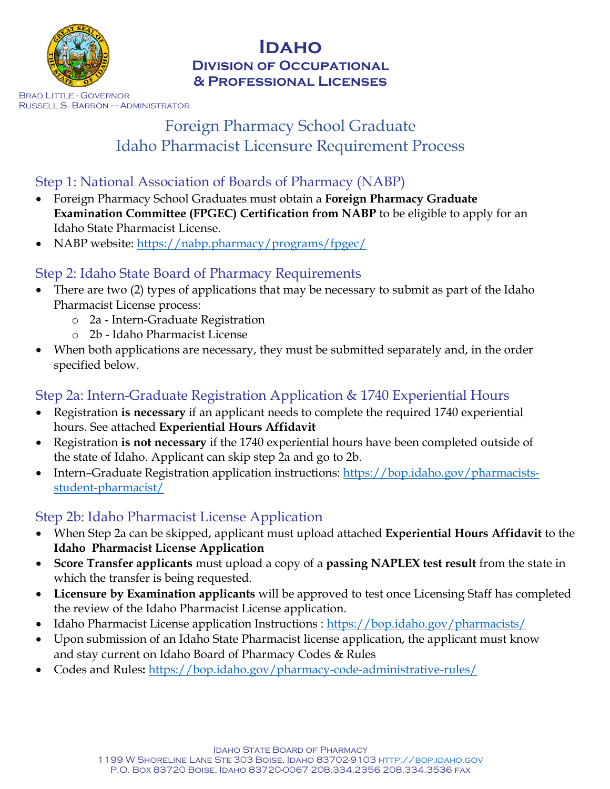

#### **Idaho Division of Occupational & Professional Licenses**

Brad Little - Governor Russell S. Barron – Administrator

# Foreign Pharmacy School Graduate Idaho Pharmacist Licensure Requirement Process

# Step 1: National Association of Boards of Pharmacy (NABP)

- Foreign Pharmacy School Graduates must obtain a **Foreign Pharmacy Graduate Examination Committee (FPGEC) Certification from NABP** to be eligible to apply for an Idaho State Pharmacist License.
- NABP website:<https://nabp.pharmacy/programs/fpgec/>

#### Step 2: Idaho State Board of Pharmacy Requirements

- There are two (2) types of applications that may be necessary to submit as part of the Idaho Pharmacist License process:
	- o 2a Intern-Graduate Registration
	- o 2b Idaho Pharmacist License
- When both applications are necessary, they must be submitted separately and, in the order specified below.

## Step 2a: Intern-Graduate Registration Application & 1740 Experiential Hours

- Registration **is necessary** if an applicant needs to complete the required 1740 experiential hours. See attached **Experiential Hours Affidavit**
- Registration **is not necessary** if the 1740 experiential hours have been completed outside of the state of Idaho. Applicant can skip step 2a and go to 2b.
- Intern–Graduate Registration application instructions: [https://bop.idaho.gov/pharmacists](https://bop.idaho.gov/pharmacists-student-pharmacist/)[student-pharmacist/](https://bop.idaho.gov/pharmacists-student-pharmacist/)

## Step 2b: Idaho Pharmacist License Application

- When Step 2a can be skipped, applicant must upload attached **Experiential Hours Affidavit** to the **Idaho Pharmacist License Application**
- **Score Transfer applicants** must upload a copy of a **passing NAPLEX test result** from the state in which the transfer is being requested.
- **Licensure by Examination applicants** will be approved to test once Licensing Staff has completed the review of the Idaho Pharmacist License application.
- Idaho Pharmacist License application Instructions :<https://bop.idaho.gov/pharmacists/>
- Upon submission of an Idaho State Pharmacist license application, the applicant must know and stay current on Idaho Board of Pharmacy Codes & Rules
- Codes and Rules**:** <https://bop.idaho.gov/pharmacy-code-administrative-rules/>